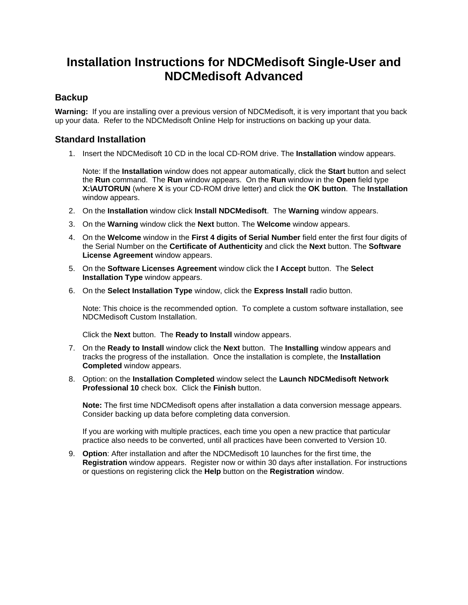## **Installation Instructions for NDCMedisoft Single-User and NDCMedisoft Advanced**

## **Backup**

**Warning:** If you are installing over a previous version of NDCMedisoft, it is very important that you back up your data. Refer to the NDCMedisoft Online Help for instructions on backing up your data.

## **Standard Installation**

1. Insert the NDCMedisoft 10 CD in the local CD-ROM drive. The **Installation** window appears.

Note: If the **Installation** window does not appear automatically, click the **Start** button and select the **Run** command. The **Run** window appears. On the **Run** window in the **Open** field type **X:\AUTORUN** (where **X** is your CD-ROM drive letter) and click the **OK button**. The **Installation** window appears.

- 2. On the **Installation** window click **Install NDCMedisoft**. The **Warning** window appears.
- 3. On the **Warning** window click the **Next** button. The **Welcome** window appears.
- 4. On the **Welcome** window in the **First 4 digits of Serial Number** field enter the first four digits of the Serial Number on the **Certificate of Authenticity** and click the **Next** button. The **Software License Agreement** window appears.
- 5. On the **Software Licenses Agreement** window click the **I Accept** button. The **Select Installation Type** window appears.
- 6. On the **Select Installation Type** window, click the **Express Install** radio button.

Note: This choice is the recommended option. To complete a custom software installation, see NDCMedisoft Custom Installation.

Click the **Next** button. The **Ready to Install** window appears.

- 7. On the **Ready to Install** window click the **Next** button. The **Installing** window appears and tracks the progress of the installation. Once the installation is complete, the **Installation Completed** window appears.
- 8. Option: on the **Installation Completed** window select the **Launch NDCMedisoft Network Professional 10** check box. Click the **Finish** button.

**Note:** The first time NDCMedisoft opens after installation a data conversion message appears. Consider backing up data before completing data conversion.

If you are working with multiple practices, each time you open a new practice that particular practice also needs to be converted, until all practices have been converted to Version 10.

9. **Option**: After installation and after the NDCMedisoft 10 launches for the first time, the **Registration** window appears. Register now or within 30 days after installation. For instructions or questions on registering click the **Help** button on the **Registration** window.